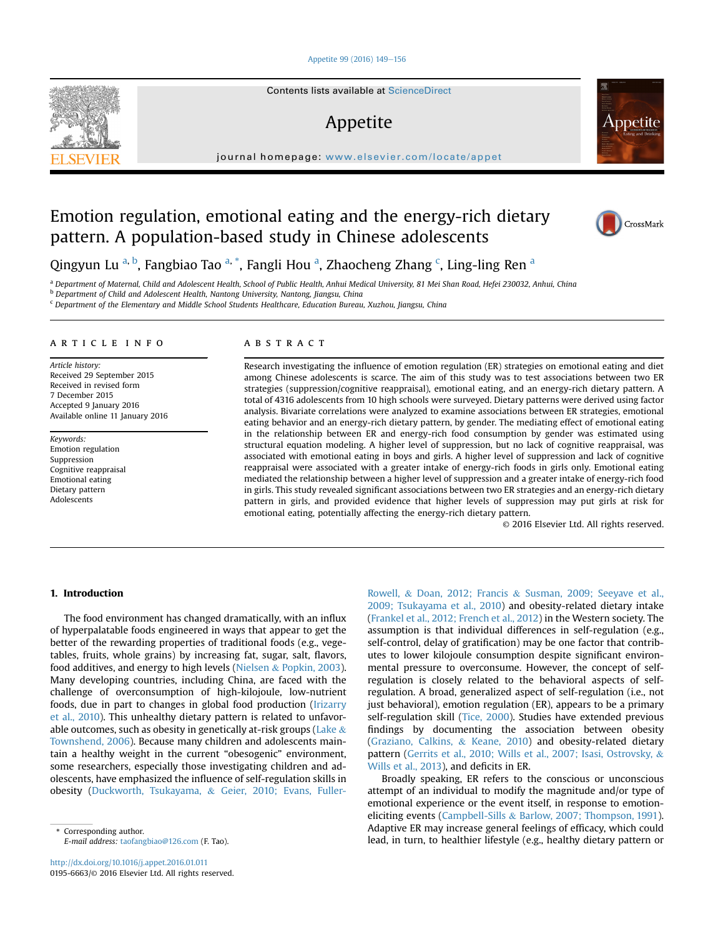#### [Appetite 99 \(2016\) 149](http://dx.doi.org/10.1016/j.appet.2016.01.011)-[156](http://dx.doi.org/10.1016/j.appet.2016.01.011)

## Appetite

journal homepage: <www.elsevier.com/locate/appet>

## Emotion regulation, emotional eating and the energy-rich dietary pattern. A population-based study in Chinese adolescents



Appetite

Qingyun Lu <sup>a, b</sup>, Fangbiao Tao <sup>a, \*</sup>, Fangli Hou <sup>a</sup>, Zhaocheng Zhang <sup>c</sup>, Ling-ling Ren <sup>a</sup>

a Department of Maternal, Child and Adolescent Health, School of Public Health, Anhui Medical University, 81 Mei Shan Road, Hefei 230032, Anhui, China

b Department of Child and Adolescent Health, Nantong University, Nantong, Jiangsu, China

<sup>c</sup> Department of the Elementary and Middle School Students Healthcare, Education Bureau, Xuzhou, Jiangsu, China

#### article info

Article history: Received 29 September 2015 Received in revised form 7 December 2015 Accepted 9 January 2016 Available online 11 January 2016

Keywords: Emotion regulation Suppression Cognitive reappraisal Emotional eating Dietary pattern Adolescents

#### **ABSTRACT**

Research investigating the influence of emotion regulation (ER) strategies on emotional eating and diet among Chinese adolescents is scarce. The aim of this study was to test associations between two ER strategies (suppression/cognitive reappraisal), emotional eating, and an energy-rich dietary pattern. A total of 4316 adolescents from 10 high schools were surveyed. Dietary patterns were derived using factor analysis. Bivariate correlations were analyzed to examine associations between ER strategies, emotional eating behavior and an energy-rich dietary pattern, by gender. The mediating effect of emotional eating in the relationship between ER and energy-rich food consumption by gender was estimated using structural equation modeling. A higher level of suppression, but no lack of cognitive reappraisal, was associated with emotional eating in boys and girls. A higher level of suppression and lack of cognitive reappraisal were associated with a greater intake of energy-rich foods in girls only. Emotional eating mediated the relationship between a higher level of suppression and a greater intake of energy-rich food in girls. This study revealed significant associations between two ER strategies and an energy-rich dietary pattern in girls, and provided evidence that higher levels of suppression may put girls at risk for emotional eating, potentially affecting the energy-rich dietary pattern.

© 2016 Elsevier Ltd. All rights reserved.

#### 1. Introduction

The food environment has changed dramatically, with an influx of hyperpalatable foods engineered in ways that appear to get the better of the rewarding properties of traditional foods (e.g., vegetables, fruits, whole grains) by increasing fat, sugar, salt, flavors, food additives, and energy to high levels (Nielsen & Popkin, 2003). Many developing countries, including China, are faced with the challenge of overconsumption of high-kilojoule, low-nutrient foods, due in part to changes in global food production (Irizarry et al., 2010). This unhealthy dietary pattern is related to unfavorable outcomes, such as obesity in genetically at-risk groups (Lake  $\&$ Townshend, 2006). Because many children and adolescents maintain a healthy weight in the current "obesogenic" environment, some researchers, especially those investigating children and adolescents, have emphasized the influence of self-regulation skills in obesity (Duckworth, Tsukayama, & Geier, 2010; Evans, Fuller-

Corresponding author. E-mail address: [taofangbiao@126.com](mailto:taofangbiao@126.com) (F. Tao). Rowell, & Doan, 2012; Francis & Susman, 2009; Seeyave et al., 2009; Tsukayama et al., 2010) and obesity-related dietary intake (Frankel et al., 2012; French et al., 2012) in the Western society. The assumption is that individual differences in self-regulation (e.g., self-control, delay of gratification) may be one factor that contributes to lower kilojoule consumption despite significant environmental pressure to overconsume. However, the concept of selfregulation is closely related to the behavioral aspects of selfregulation. A broad, generalized aspect of self-regulation (i.e., not just behavioral), emotion regulation (ER), appears to be a primary self-regulation skill (Tice, 2000). Studies have extended previous findings by documenting the association between obesity (Graziano, Calkins, & Keane, 2010) and obesity-related dietary pattern (Gerrits et al., 2010; Wills et al., 2007; Isasi, Ostrovsky, & Wills et al., 2013), and deficits in ER.

Broadly speaking, ER refers to the conscious or unconscious attempt of an individual to modify the magnitude and/or type of emotional experience or the event itself, in response to emotioneliciting events (Campbell-Sills & Barlow, 2007; Thompson, 1991). Adaptive ER may increase general feelings of efficacy, which could lead, in turn, to healthier lifestyle (e.g., healthy dietary pattern or

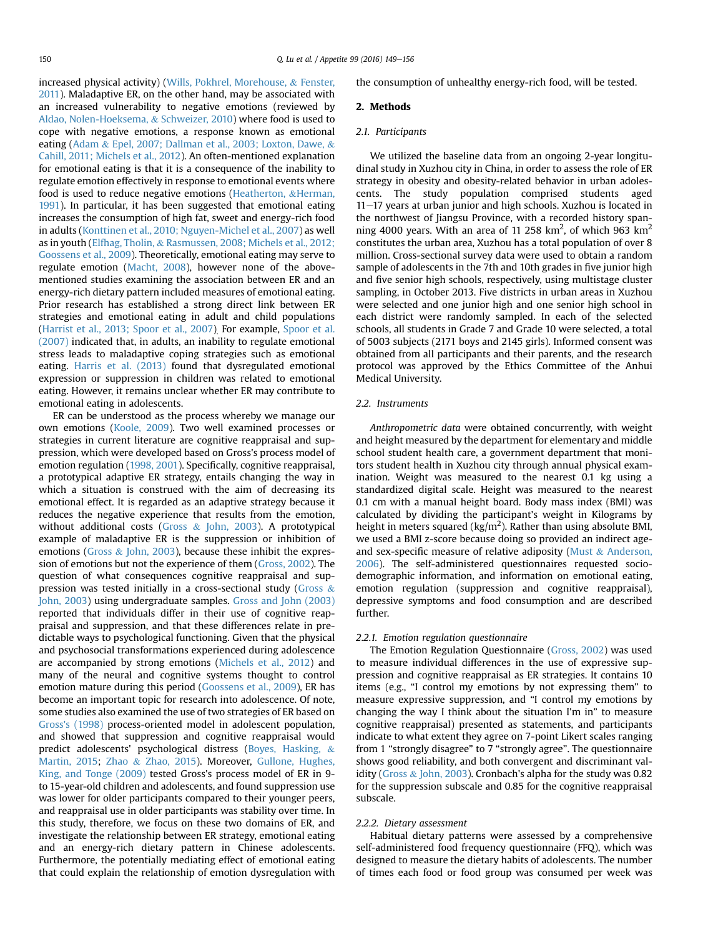increased physical activity) (Wills, Pokhrel, Morehouse, & Fenster, 2011). Maladaptive ER, on the other hand, may be associated with an increased vulnerability to negative emotions (reviewed by Aldao, Nolen-Hoeksema, & Schweizer, 2010) where food is used to cope with negative emotions, a response known as emotional eating (Adam & Epel, 2007; Dallman et al., 2003; Loxton, Dawe, & Cahill, 2011; Michels et al., 2012). An often-mentioned explanation for emotional eating is that it is a consequence of the inability to regulate emotion effectively in response to emotional events where food is used to reduce negative emotions (Heatherton, &Herman, 1991). In particular, it has been suggested that emotional eating increases the consumption of high fat, sweet and energy-rich food in adults (Konttinen et al., 2010; Nguyen-Michel et al., 2007) as well as in youth (Elfhag, Tholin, & Rasmussen, 2008; Michels et al., 2012; Goossens et al., 2009). Theoretically, emotional eating may serve to regulate emotion (Macht, 2008), however none of the abovementioned studies examining the association between ER and an energy-rich dietary pattern included measures of emotional eating. Prior research has established a strong direct link between ER strategies and emotional eating in adult and child populations (Harrist et al., 2013; Spoor et al., 2007). For example, Spoor et al. (2007) indicated that, in adults, an inability to regulate emotional stress leads to maladaptive coping strategies such as emotional eating. Harris et al. (2013) found that dysregulated emotional expression or suppression in children was related to emotional eating. However, it remains unclear whether ER may contribute to emotional eating in adolescents.

ER can be understood as the process whereby we manage our own emotions (Koole, 2009). Two well examined processes or strategies in current literature are cognitive reappraisal and suppression, which were developed based on Gross's process model of emotion regulation (1998, 2001). Specifically, cognitive reappraisal, a prototypical adaptive ER strategy, entails changing the way in which a situation is construed with the aim of decreasing its emotional effect. It is regarded as an adaptive strategy because it reduces the negative experience that results from the emotion, without additional costs (Gross & John, 2003). A prototypical example of maladaptive ER is the suppression or inhibition of emotions (Gross & John, 2003), because these inhibit the expression of emotions but not the experience of them (Gross, 2002). The question of what consequences cognitive reappraisal and suppression was tested initially in a cross-sectional study (Gross  $\&$ John, 2003) using undergraduate samples. Gross and John (2003) reported that individuals differ in their use of cognitive reappraisal and suppression, and that these differences relate in predictable ways to psychological functioning. Given that the physical and psychosocial transformations experienced during adolescence are accompanied by strong emotions (Michels et al., 2012) and many of the neural and cognitive systems thought to control emotion mature during this period (Goossens et al., 2009), ER has become an important topic for research into adolescence. Of note, some studies also examined the use of two strategies of ER based on Gross's (1998) process-oriented model in adolescent population, and showed that suppression and cognitive reappraisal would predict adolescents' psychological distress (Boyes, Hasking, & Martin, 2015; Zhao & Zhao, 2015). Moreover, Gullone, Hughes, King, and Tonge (2009) tested Gross's process model of ER in 9 to 15-year-old children and adolescents, and found suppression use was lower for older participants compared to their younger peers, and reappraisal use in older participants was stability over time. In this study, therefore, we focus on these two domains of ER, and investigate the relationship between ER strategy, emotional eating and an energy-rich dietary pattern in Chinese adolescents. Furthermore, the potentially mediating effect of emotional eating that could explain the relationship of emotion dysregulation with the consumption of unhealthy energy-rich food, will be tested.

#### 2. Methods

#### 2.1. Participants

We utilized the baseline data from an ongoing 2-year longitudinal study in Xuzhou city in China, in order to assess the role of ER strategy in obesity and obesity-related behavior in urban adolescents. The study population comprised students aged  $11-17$  years at urban junior and high schools. Xuzhou is located in the northwest of Jiangsu Province, with a recorded history spanning 4000 years. With an area of 11 258  $\text{km}^2$ , of which 963  $\text{km}^2$ constitutes the urban area, Xuzhou has a total population of over 8 million. Cross-sectional survey data were used to obtain a random sample of adolescents in the 7th and 10th grades in five junior high and five senior high schools, respectively, using multistage cluster sampling, in October 2013. Five districts in urban areas in Xuzhou were selected and one junior high and one senior high school in each district were randomly sampled. In each of the selected schools, all students in Grade 7 and Grade 10 were selected, a total of 5003 subjects (2171 boys and 2145 girls). Informed consent was obtained from all participants and their parents, and the research protocol was approved by the Ethics Committee of the Anhui Medical University.

### 2.2. Instruments

Anthropometric data were obtained concurrently, with weight and height measured by the department for elementary and middle school student health care, a government department that monitors student health in Xuzhou city through annual physical examination. Weight was measured to the nearest 0.1 kg using a standardized digital scale. Height was measured to the nearest 0.1 cm with a manual height board. Body mass index (BMI) was calculated by dividing the participant's weight in Kilograms by height in meters squared (kg/m<sup>2</sup>). Rather than using absolute BMI, we used a BMI z-score because doing so provided an indirect ageand sex-specific measure of relative adiposity (Must  $&$  Anderson, 2006). The self-administered questionnaires requested sociodemographic information, and information on emotional eating, emotion regulation (suppression and cognitive reappraisal), depressive symptoms and food consumption and are described further.

#### 2.2.1. Emotion regulation questionnaire

The Emotion Regulation Questionnaire (Gross, 2002) was used to measure individual differences in the use of expressive suppression and cognitive reappraisal as ER strategies. It contains 10 items (e.g., "I control my emotions by not expressing them" to measure expressive suppression, and "I control my emotions by changing the way I think about the situation I'm in" to measure cognitive reappraisal) presented as statements, and participants indicate to what extent they agree on 7-point Likert scales ranging from 1 "strongly disagree" to 7 "strongly agree". The questionnaire shows good reliability, and both convergent and discriminant validity (Gross & John, 2003). Cronbach's alpha for the study was 0.82 for the suppression subscale and 0.85 for the cognitive reappraisal subscale.

#### 2.2.2. Dietary assessment

Habitual dietary patterns were assessed by a comprehensive self-administered food frequency questionnaire (FFQ), which was designed to measure the dietary habits of adolescents. The number of times each food or food group was consumed per week was